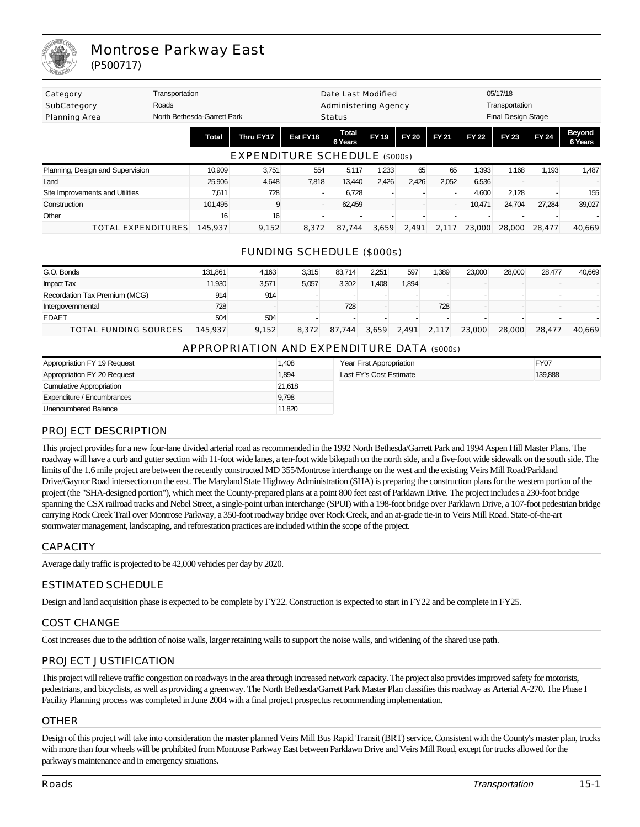

# Montrose Parkway East (P500717)

| Category<br>Roads<br>SubCategory<br>Planning Area | Transportation<br>North Bethesda-Garrett Park |                               |          | Date Last Modified<br><b>Administering Agency</b><br>Status |             |              |              | 05/17/18<br>Transportation<br>Final Design Stage |              |              |                   |
|---------------------------------------------------|-----------------------------------------------|-------------------------------|----------|-------------------------------------------------------------|-------------|--------------|--------------|--------------------------------------------------|--------------|--------------|-------------------|
|                                                   | <b>Total</b>                                  | Thru FY17                     | Est FY18 | <b>Total</b><br>6 Years                                     | <b>FY19</b> | <b>FY 20</b> | <b>FY 21</b> | <b>FY 22</b>                                     | <b>FY 23</b> | <b>FY 24</b> | Beyond<br>6 Years |
|                                                   |                                               | EXPENDITURE SCHEDULE (\$000s) |          |                                                             |             |              |              |                                                  |              |              |                   |
| Planning, Design and Supervision                  | 10,909                                        | 3,751                         | 554      | 5,117                                                       | 1,233       | 65           | 65           | 1,393                                            | 1.168        | 1,193        | 1,487             |
| Land                                              | 25,906                                        | 4,648                         | 7,818    | 13.440                                                      | 2,426       | 2,426        | 2,052        | 6,536                                            |              |              |                   |
| Site Improvements and Utilities                   | 7.611                                         | 728                           |          | 6,728                                                       |             |              |              | 4,600                                            | 2,128        |              | 155               |
| Construction                                      | 101,495                                       | 9                             |          | 62.459                                                      |             |              |              | 10,471                                           | 24,704       | 27.284       | 39,027            |
| Other                                             | 16                                            | 16                            |          |                                                             |             |              |              |                                                  |              |              |                   |
| <b>TOTAL EXPENDITURES</b>                         | 145.937                                       | 9.152                         | 8.372    | 87.744                                                      | 3.659       | 2.491        | 2.117        | 23,000                                           | 28,000       | 28.477       | 40.669            |

## FUNDING SCHEDULE (\$000s)

| G.O. Bonds                    | 131.861 | 4.163 | 3.315 | 83.714     | 2.251 | 597   | .389  | 23,000 | 28.000 | 28.477 | 40.669 |
|-------------------------------|---------|-------|-------|------------|-------|-------|-------|--------|--------|--------|--------|
| <b>Impact Tax</b>             | 11,930  | 3,571 | 5,057 | 3,302      | 1,408 | ,894  |       |        |        |        |        |
| Recordation Tax Premium (MCG) | 914     | 914   |       |            |       |       |       |        |        |        |        |
| Intergovernmental             | 728     |       |       | 728        |       |       | 728   |        |        |        |        |
| <b>EDAET</b>                  | 504     | 504   |       |            |       |       |       |        |        |        |        |
| TOTAL FUNDING SOURCES         | 145.937 | 9.152 | 8.372 | 87<br>.744 | 3.659 | 2,491 | 2.117 | 23.000 | 28,000 | 28.477 | 40.669 |

### APPROPRIATION AND EXPENDITURE DATA (\$000s)

| Appropriation FY 19 Request | 1,408  | Year First Appropriation | FY07    |
|-----------------------------|--------|--------------------------|---------|
| Appropriation FY 20 Request | 1,894  | Last FY's Cost Estimate  | 139,888 |
| Cumulative Appropriation    | 21,618 |                          |         |
| Expenditure / Encumbrances  | 9,798  |                          |         |
| Unencumbered Balance        | 11,820 |                          |         |

### PROJECT DESCRIPTION

This project provides for a new four-lane divided arterial road as recommended in the 1992 North Bethesda/Garrett Park and 1994 Aspen Hill Master Plans. The roadway will have a curb and gutter section with 11-foot wide lanes, a ten-foot wide bikepath on the north side, and a five-foot wide sidewalk on the south side. The limits of the 1.6 mile project are between the recently constructed MD 355/Montrose interchange on the west and the existing Veirs Mill Road/Parkland Drive/Gaynor Road intersection on the east. The Maryland State Highway Administration (SHA) is preparing the construction plans for the western portion of the project (the "SHA-designed portion"), which meet the County-prepared plans at a point 800 feet east of Parklawn Drive. The project includes a 230-foot bridge spanning the CSX railroad tracks and Nebel Street, a single-point urban interchange (SPUI) with a 198-foot bridge over Parklawn Drive, a 107-foot pedestrian bridge carrying Rock Creek Trail over Montrose Parkway, a 350-foot roadway bridge over Rock Creek, and an at-grade tie-in to Veirs Mill Road. State-of-the-art stormwater management, landscaping, and reforestation practices are included within the scope of the project.

### **CAPACITY**

Average daily traffic is projected to be 42,000 vehicles per day by 2020.

### ESTIMATED SCHEDULE

Design and land acquisition phase is expected to be complete by FY22. Construction is expected to start in FY22 and be complete in FY25.

#### COST CHANGE

Cost increases due to the addition of noise walls, larger retaining walls to support the noise walls, and widening of the shared use path.

### PROJECT JUSTIFICATION

This project will relieve traffic congestion on roadways in the area through increased network capacity. The project also provides improved safety for motorists, pedestrians, and bicyclists, as well as providing a greenway. The North Bethesda/Garrett Park Master Plan classifies this roadway as Arterial A-270. The Phase I Facility Planning process was completed in June 2004 with a final project prospectus recommending implementation.

#### OTHER

Design of this project will take into consideration the master planned Veirs Mill Bus Rapid Transit (BRT) service. Consistent with the County's master plan, trucks with more than four wheels will be prohibited from Montrose Parkway East between Parklawn Drive and Veirs Mill Road, except for trucks allowed for the parkway's maintenance and in emergency situations.